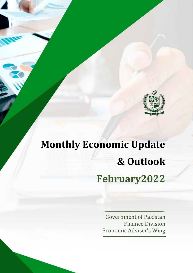

# **Monthly Economic Update & Outlook February2022**

Government of Pakistan Finance Division Economic Adviser's Wing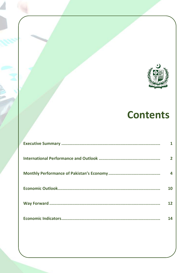

# **Contents**

| $\mathbf{2}$ |
|--------------|
| Δ.           |
| 10           |
| 12           |
| 14           |
|              |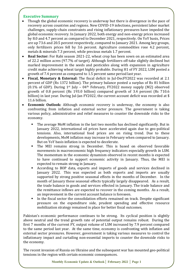# **Executive Summary**

- Though the global economic recovery is underway but there is divergence in the pace of recovery across countries and regions. New COVID-19 infections, persistent labor market challenges, supply-chain constraints and rising inflationary pressures have impeded the global economic recovery. In January 2022, both energy and non-energy prices increased by 8.0 and 4.7 percent as compared to December 2021, respectively. On YoY basis, Prices are up 73.6 and 20.5 percent respectively, compared to January 2021. Among key groups, only fertilizers prices fell by 3.6 percent. Agriculture commodities rose 4.2 percent, metals & minerals 7.3 percent, while precious metals 1.7 percent.
- **Real Sector:** For Rabi season 2021-22, wheat crop has been sown on an estimated area of 22.2 million acres (97.7% of target). Although fertilizers off-take slightly declined but marked improvement in the seeds and pesticides along with expansion in agriculture credit make achieving wheat target highly probable. During H1 of FY 2022, LSM posted a growth of 7.4 percent as compared to 1.5 percent same period last year.
- **Fiscal, Monetary & External:** The fiscal deficit in Jul-DecFY2022 was recorded at 2.1 percent of GDP (Rs 1372 billion). The primary balance posted a surplus of Rs 81 billion (0.1% of GDP). During  $1^{st}$  July – 04<sup>th</sup> February, FY2022 money supply (M2) observed growth of 0.8 percent (Rs 193.0 billion) compared growth of 3.4 percent (Rs 710.6 billion) in last year. During Jul-Jan FY2022, the current account deficit was recorded at \$ 11.6 billion.
- **Economic Outlook:** Although economic recovery is underway, the economy is also confronting from inflation and external sector pressure. The government is taking various policy, administrative and relief measures to counter the downside risks to the economy.
	- The average MoM inflation in the last two months has declined significantly. But in January 2022, international oil prices have accelerated again due to geo-political tensions. Also, international food prices are on rising trend. Due to these developments, MoM inflation may increase in February when compared to January. But on YoY basis inflation is expected to decelerate.
	- The MEI remains strong in December. This is based on observed favorable movements in macroeconomic high frequency indicators especially growth in LSM. The momentum in the economic dynamism observed in recent months is expected to have continued to support economic activity in January. Thus, the MEI is expected to remain strong in January.
	- According to BOP data, exports and imports of goods and services declined in January 2022. This was expected as both exports and imports are usually supported by strong positive seasonal effects in the months of December. In the month of January these seasonal effects typically largely disappeared. As a result, the trade balance in goods and services effected in January. The trade balance and the remittance inflows are expected to recover in the coming months. As a result, an improvement in the current account balance is foreseen.
	- In the fiscal sector the consolidation efforts remained on track. Despite significant pressure on the expenditure side, prudent spending and effective resource mobilization strategy remained in place for better fiscal outcomes.

Pakistan's economic performance continues to be strong. Its cyclical position is slightly above neutral and the trend growth rate of potential output remains robust. During the first 7 months of the current FY, output volume of LSM increased by 7.9 percent compared to the same period last year. At the same time, economy is confronting with inflation and external sector pressures. However, government is taking various measures to control the inflationary impact and curtailing non-essential imports to counter the downside risks to the economy.

The recent invasion of Russia on Ukraine and the subsequent war has mounted geo-political tensions in the region with certain economic consequences.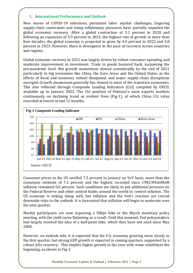#### **1. International Performance and Outlook**

New waves of COVID-19 infections, persistent labor market challenges, lingering supply-chain constraints and rising inflationary pressures have partially impeded the global economic recovery. After a global contraction of 3.1 percent in 2020 and following an expansion of 5.9 percent in 2021, the highest rate of growth in more than four decades, the global economy is projected to grow by 4.4 percent in 2022 and 3.8 percent in 2023. However, there is divergence in the pace of recovery across countries and regions.

Global economic recovery in 2021 was largely driven by robust consumer spending and moderate improvement in investment. Trade in goods bounced back, surpassing the pre-pandemic level. But growth momentum slowed considerably by the end of 2021 particularly in big economies like China, the Euro Areas and the United States, as the effects of fiscal and monetary stimuli dissipated, and major supply-chain disruptions emerged. Growth momentum generally has slowed in most of the transition economies. This also reflected through Composite Leading Indicators (CLI) compiled by OECD, available up to January 2022. The CLI position of Pakistan's main exports markets continuously on declining trend as evident from (Fig-1), of which China CLI value recorded at lowest in last 12 months.



Consumer prices in the US swelled 7.5 percent in January on YoY basis, more than the consensus estimate of 7.2 percent and the highest recorded since 1982.WhileMoM inflation remained 0.6 percent. Such conditions are likely to put additional pressure on the Federal Reserve and other central banks around the world to control inflation. The US economy is ticking along well, but inflation and the Fed's reaction are crucial downside risks to the outlook. It is forecasted that inflation will begin to moderate over the next quarter.

Market participants are now expecting a 50bps hike in the March monetary policy meeting, with the yield curve flattening as a result. Until this moment, Fed policymakers had largely resisted the idea of a half-point hike, which they have not used since May 2000.

However, on outlook side, it is expected that the U.S. economy growing more slowly in the first quarter, but strong GDP growth is expected in coming quarters, supported by a robust jobs recovery. This implies higher growth in the year with some volatilityin the beginning, as shown in Fig-2.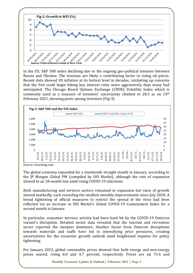

In the US, S&P 500 index declining due to the ongoing geo-political tensions between Russia and Ukraine. The tensions are likely a contributing factor to rising oil prices. Recent data showed US inflation at its hottest level in decades, ratcheting up concerns that the Fed could begin hiking key interest rates more aggressively than many had anticipated. The Chicago Board Options Exchange (CBOE) Volatility Index which is commonly used as a measure of investors' uncertainty climbed to 28.3 as on 14th February 2021, showing panic among investors (Fig-3).



Source: Investing.com

The global economy expanded for a nineteenth straight month in January, according to the JP Morgan Global PM (compiled by IHS Markit), although the rate of expansion slowed to an 18-month low amid rising COVID-19 infections.

Both manufacturing and services sectors remained in expansion but rates of growth slowed markedly, each recording the smallest monthly improvements since July 2020. A broad tightening of official measures to restrict the spread of the virus had been reflected via an increase in IHS Markit's Global COVID-19 Containment Index for a second month in January.

In particular, consumer services activity had been hard hit by the COVID-19 Omicron variant's disruption. Detailed sector data revealed that the tourism and recreation sector reported the steepest downturn. Another factor from Omicron disruptions towards materials and staffs have led to intensifying price pressures, creating uncertainties for the economic growth outlook amid heightened impetus for policy tightening.

For January 2022, global commodity prices showed that both energy and non-energy prices soared, rising 8.0 and 4.7 percent, respectively. Prices are up 73.6 and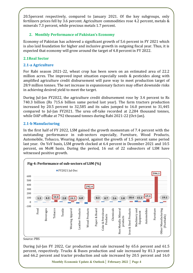20.5percent respectively, compared to January 2021. Of the key subgroups, only fertilizers prices fell by 3.6 percent. Agriculture commodities rose 4.2 percent, metals & minerals 7.3 percent, while precious metals 1.7 percent.

#### **2. Monthly Performance of Pakistan's Economy**

Economy of Pakistan has achieved a significant growth of 5.6 percent in FY 2021 which is also laid foundation for higher and inclusive growth in outgoing fiscal year. Thus, it is expected that economy will grow around the target of 4.8 percent in FY 2022.

# **2.1Real Sector**

# **2.1-a Agriculture**

For Rabi season 2021-22, wheat crop has been sown on an estimated area of 22.2 million acres. The improved input situation especially seeds & pesticides along with amplified agriculture credit disbursement will pave way to meet production target of 28.9 million tonnes. The net increase in expansionary factors may offset downside risks in achieving desired yield to meet the target.

During Jul-Jan FY2022, the agriculture credit disbursement rose by 3.4 percent to Rs 740.3 billion (Rs 715.6 billion same period last year). The farm tractors production increased by 20.5 percent to 32,585 and its sales jumped to 16.0 percent to 31,445 compared to Jul-Jan FY2021. The urea off-take recorded at 2,284 thousand tonnes, while DAP offtake at 792 thousand tonnes during Rabi 2021-22 (Oct-Jan).

#### **2.1-b Manufacturing**

In the first half of FY 2022, LSM gained the growth momentum of 7.4 percent with the outstanding performance in sub-sectors especially, Furniture, Wood Products, Automobile, Tobacco, Wearing Apparel, against the growth of 1.5 percent same period last year. On YoY basis, LSM growth clocked at 6.4 percent in December 2021 and 10.5 percent, on MoM basis. During the period, 16 out of 22 subsectors of LSM have witnessed positive growth.



Source: PBS

During Jul-Jan FY 2022, Car production and sale increased by 65.6 percent and 61.5 percent, respectively. Trucks & Buses production and sale increased by 81.3 percent and 66.2 percent and tractor production and sale increased by 20.5 percent and 16.0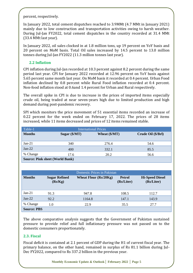percent, respectively.

In January 2022, total cement dispatches reached to 3.9MMt (4.7 MMt in January 2021) mainly due to low construction and transportation activities owing to harsh weather. During Jul-Jan FY2022, total cement dispatches in the country recorded at 31.4 MMt (33.4 MMt last year).

In January 2022, oil sales clocked in at 1.8 million tons, up 19 percent on YoY basis and 20 percent on MoM basis. Total Oil sales increased by 14.5 percent to 13.0 million tonnes during Jul-Jan FY2022 (11.3 million tonnes last year).

# **2.2 Inflation**

CPI inflation during Jul-Jan recorded at 10.3 percent against 8.2 percent during the same period last year. CPI for January 2022 recorded at 12.96 percent on YoY basis against 5.65 percent same month last year. On MoM basis it recorded at 0.4 percent. Urban Food inflation declined by 0.8 percent while Rural Food inflation recorded at 0.4 percent. Non-food inflation stood at 0.6and 1.4 percent for Urban and Rural respectively.

The overall spike in CPI is due to increase in the prices of imported items especially crude oil, being traded at near seven-years high due to limited production and high demand during post-pandemic recovery.

SPI which monitors the price movement of 51 essential items recorded an increase of 0.22 percent for the week ended on February 17, 2022. The prices of 28 items increased, while 11 items decreased and prices of 12 items remained stable.

| Table-1                                | <b>International Prices</b> |                           |                    |  |
|----------------------------------------|-----------------------------|---------------------------|--------------------|--|
| <b>Months</b>                          | Sugar $(\frac{S}{MT})$      | Wheat $(\frac{4}{3})$ MT) | Crude Oil (\$/Brl) |  |
| $Jan-21$                               | 340                         | 276.4                     | 54.6               |  |
|                                        |                             |                           |                    |  |
| $Jan-22$                               | 400                         | 332.1                     | 85.5               |  |
| % Change                               | 17.6                        | 20.2                      | 56.6               |  |
| <b>Source: Pink sheet (World Bank)</b> |                             |                           |                    |  |

| Domestic Prices in Pakistan |                                 |                              |                             |                                      |  |
|-----------------------------|---------------------------------|------------------------------|-----------------------------|--------------------------------------|--|
| <b>Months</b>               | <b>Sugar Refined</b><br>(Rs/Kg) | <b>Wheat Flour (Rs/20Kg)</b> | <b>Petrol</b><br>(Rs/Liter) | <b>Hi-Speed Diesel</b><br>(Rs/Liter) |  |
| $Jan-21$                    | 91.3                            | 947.8                        | 108.5                       | 112.7                                |  |
| $Jan-22$                    | 92.2                            | 1164.8                       | 147.1                       | 143.9                                |  |
| % Change                    | 1.0                             | 22.9                         | 35.5                        | 27.7                                 |  |
| <b>Source: PBS</b>          |                                 |                              |                             |                                      |  |

The above comparative analysis suggests that the Government of Pakistan sustained pressure to provide relief and full inflationary pressure was not passed on to the domestic consumers proportionately.

# **2.3. Fiscal**

Fiscal deficit is contained at 2.1 percent of GDP during the H1 of current fiscal year. The primary balance, on the other hand, remained in surplus of Rs 81.1 billion during Jul-Dec FY2022, compared to Rs 337.2 billion in the previous year.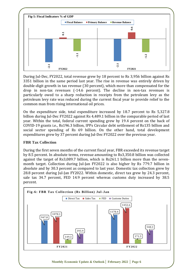

During Jul-Dec, FY2022, total revenue grew by 18 percent to Rs 3,956 billion against Rs 3351 billion in the same period last year. The rise in revenue was entirely driven by double-digit growth in tax revenue (30 percent), which more than compensated for the drop in non-tax revenues (-14.6 percent). The decline in non-tax revenues is particularly owed to a sharp reduction in receipts from the petroleum levy as the petroleum levy rate was reduced during the current fiscal year to provide relief to the common man from rising international oil prices.

On the expenditure side, total expenditure increased by 18.7 percent to Rs 5,327.8 billion during Jul-Dec FY2022 against Rs 4,489.1 billion in the comparable period of last year. Within the total, federal current spending grew by 19.4 percent on the back of COVID-19 grants i.e., Rs196.3 billion, IPPs Circular debt settlement of Rs135 billion and social sector spending of Rs 69 billion. On the other hand, total development expenditures grew by 37 percent during Jul-Dec FY2022 over the previous year.

# **FBR Tax Collection**

During the first seven months of the current fiscal year, FBR exceeded its revenue target by 8.5 percent. In absolute terms, revenue amounting to Rs3,350.8 billion was collected against the target of Rs3,089.7 billion, which is Rs261.1 billion more than the sevenmonth target. Collection during Jul-Jan FY2022 is also higher by Rs 779.7 billion in absolute and by 30.3 percent as compared to last year. Domestic tax collection grew by 28.8 percent during Jul-Jan FY2022. Within domestic, direct tax grew by 24.3 percent, sale tax 34.7 percent, FED 14.9 percent whereas customs duty increased by 38.5 percent.

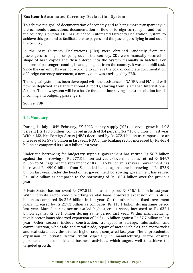# **Box Item-I: Automated Currency Declaration System**

To achieve the goal of documentation of economy and to bring more transparency in the economic transactions, documentation of flow of foreign currency in and out of the country is pivotal. FBR has launched 'Automated Currency Declaration System' to achieve this goal and to facilitate the taxpayers and the passengers flying in and out of the country.

In the past, Currency Declarations (CDs) were obtained randomly from the passengers coming in or going out of the country. CDs were manually secured in shape of hard copies and then entered into the System manually in batches. For millions of passengers coming in and going out from the country, it was an uphill task. Since the current CDs was not working to achieve the goal of complete documentation of foreign currency movement, a new system was envisaged by FBR.

This digital system has been developed with the assistance of NADRA and FIA and will now be deployed at all International Airports, starting from Islamabad International Airport. The new system will be a hassle free and time saving, one stop solution for all incoming and outgoing passengers.

Source: FBR

# **2.4. Monetary**

During  $1^{st}$  July – 04<sup>th</sup> February, FY 2022 money supply (M2) observed growth of 0.8 percent (Rs 193.0 billion) compared growth of 3.4 percent (Rs 710.6 billion) in last year. Within M2, Net Foreign Assets (NFA) decreased by Rs 272.4 billion as compared to an increase of Rs 579.8 billion in last year. NDA of the banking sector increased by Rs 465.4 billion as compared Rs 130.8 billion last year.

Under the borrowing for budgetary support, government has retired Rs 56.7 billion against the borrowing of Rs 277.3 billion last year. Government has retired Rs 546.7 billion to SBP against the retirement of Rs 598.6 billion in last year. Government has borrowed Rs 490.0 billion from Scheduled banks against the borrowing of Rs 875.9 billion last year. Under the head of net government borrowing, government has retired Rs 106.2 billion as compared to the borrowing of Rs 162.4 billion over the previous year.

Private Sector has borrowed Rs 797.0 billion as compared Rs 315.1 billion in last year. Within private sector credit, working capital loans observed expansion of Rs 462.6 billion as compared Rs 32.6 billion in last year. On the other hand, fixed investment loans increased by Rs 217.1 billion as compared Rs 116.1 billion during same period last year. Manufacturing sector availed highest credit share, increased to Rs 632.1 billion against Rs 83.1 billion during same period last year. Within manufacturing, textile sector loans observed expansion of Rs 311.6 billion against Rs 37.7 billion in last year. Other sectors include construction, transport & storage, information and communication, wholesale and retail trade, repair of motor vehicles and motorcycles and real estate activities availed higher credit compared last year. The unprecedented expansion in private sector credit especially in manufacturing sector ensures persistence in economic and business activities, which augers well to achieve the targeted growth.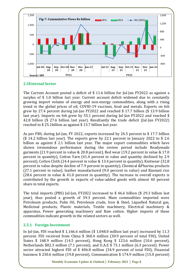

#### **2.5External Sector**

The Current Account posted a deficit of \$ 11.6 billion for Jul-Jan FY2022 as against a surplus of \$ 1.0 billion last year. Current account deficit widened due to constantly growing import volume of energy and non-energy commodities, along with a rising trend in the global prices of oil, COVID-19 vaccines, food and metals. Exports on fob grew by 27.4 percent during Jul-Jan FY2022 and reached \$ 17.7 billion (\$ 13.9 billion last year). Imports on fob grew by 55.1 percent during Jul-Jan FY2022 and reached \$ 42.8 billion (\$ 27.6 billion last year). Resultantly the trade deficit (Jul-Jan FY2022) reached to \$ 25.1billion as against \$ 13.7 billion last year.

As per PBS, during Jul-Jan, FY 2022, exports increased by 24.5 percent to \$ 17.7 billion (\$ 14.2 billion last year). The exports grew by 22.1 percent in January 2022 to \$ 2.6 billion as against \$ 2.1 billion last year. The major export commodities which have shown tremendous performance during the review period include Readymade garments (21.9 percent in value & 20.8 percent), Bed wear (19.2 percent in value & 17.0 percent in quantity), Cotton Yarn (41.4 percent in value and quantity declined by 2.9 percent), Cotton Cloth (24.4 percent in value & 13.4 percent in quantity), Knitwear (32.8 percent in value despite decline of 7.9 percent in quantity), Chemical &Pharma products (27.1 percent in value), leather manufactured (9.0 percent in value) and Basmati rice (28.6 percent in value & 41.0 percent in quantity). The increase in overall exports is contributed by the growth in exports of value-added goods with almost 40 percent share in total exports.

The total imports (PBS) Jul-Jan, FY2022 increased to \$ 46.6 billion (\$ 29.3 billion last year), thus posted a growth of 59.3 percent. Main commodities imported were Petroleum products, Palm Oil, Petroleum crude, Iron & Steel, Liquefied Natural gas, Medicinal products, Plastic materials, Textile machinery, Electrical machinery & apparatus, Power generating machinery and Raw cotton. Higher imports of these commodities indicate growth in the related sectors as well.

# **2.5.1 Foreign Investment**

In Jul-Jan, FDI reached \$ 1,166.6 million (\$ 1,048.0 million last year) increased by 11.3 percent. FDI received from China \$ 360.4 million (30.9 percent of total FDI), United States \$ 168.9 million (14.5 percent), Hong Kong \$ 123.6 million (10.6 percent), Netherlands \$82.3 million (7.1 percent), and U.A.E \$ 73.1 million (6.3 percent). Power sector attracted highest FDI of \$ 406.8 million (34.9 percent of total FDI), Financial business \$ 230.6 million (19.8 percent), Communication \$ 174.9 million (15.0 percent)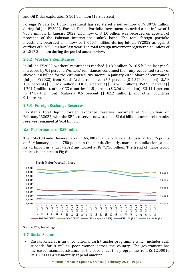and Oil & Gas exploration \$ 161.8 million (13.9 percent).

Foreign Private Portfolio Investment has registered a net outflow of \$ 307.6 million during Jul-Jan FY2022. Foreign Public Portfolio Investment recorded a net inflow of \$ 958.3 million. In January 2022, an inflow of \$ 1.0 billion was recorded on account of proceeds of the Pakistan International sukuk bond. The total foreign portfolio investment recorded an inflow of \$ 650.7 million during Jul-Jan FY2022 as against outflow of \$ 389.0 million last year. The total foreign investment registered an inflow of \$ 1,817.3 million during the period under review.

# **2.5.2 Worker's Remittances**

In Jul-Jan FY2022, workers' remittances reached \$ 18.0 billion (\$ 16.5 billion last year), increased by 9.1 percent. Workers' remittances continued their unprecedented streak of above \$2.0 billion for the 20<sup>th</sup> consecutive month in January 2022. Share of remittances (Jul-Jan FY2022) from Saudi Arabia remained 25.5 percent (\$ 4,574.0 million), U.A.E 18.8 percent (\$ 3,382.2 million), U.K 13.7 percent (\$ 2,467.1 million), USA 9.5 percent (\$ 1,701.7 million), other GCC countries 11.5 percent (\$ 2,061.1 million), EU 11.1 percent (\$ 1,987.4 million), Malaysia 0.5 percent (\$ 82.2 million), and other countries 9.4percent.

# **2.5.3 Foreign Exchange Reserves**

Pakistan's total liquid foreign exchange reserves recorded at \$23.0billion on February232022, with the SBP's reserves now stood at \$16.6 billion, commercial banks' reserves remained at \$6.4 billion.

# **2.6 Performance of KSE Index**

The KSE-100 index hovered around 45,000 in January 2022 and closed at 45,375 points on 31st January, gained 780 points in the month. Similarly, market capitalization gained Rs 71 billion in January 2022 and closed at Rs 7,756 billion. The trend of major world indices is depicted in Fig-8:





#### **2.7 Social Sector**

• Ehsaas Kafaalat is an unconditional cash transfer programme which includes cash stipends for 8 million poor women across the country. The government has increased financial assistance for the poor under this programme from Rs 12,000 to Rs 13,000 as a six-monthly stipend amount.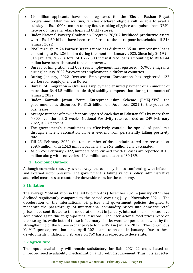- 19 million applicants have been registered for the 'Ehsaas Rashan Riayat programme'. After the scrutiny, families declared eligible will be able to avail a subsidy of Rs. 1000/- month to buy flour, cooking oil/ghee and pulses from NBP's network of Kiryana retail shops and Utility stores.
- Under National Poverty Graduation Program, 76,507 livelihood productive assets worth Rs 4.60 billion have been transferred to the ultra-poor households till 31st January 2022.
- PPAF through its 24 Partner Organizations has disbursed 35,001 interest free loans amounting to Rs 1.26 billion during the month of January 2022. Since July 2019 till 31st January, 2022, a total of 1,722,509 interest free loans amounting to Rs 61.44 billion have been disbursed to the borrowers.
- Bureau of Emigration and Overseas Employment has registered 67908 emigrants during January 2022 for overseas employment in different countries.
- During January, 2022 Overseas Employment Corporation has registered 122 workers for employment in Korea.
- Bureau of Emigration & Overseas Employment ensured payment of an amount of more than Rs 44.5 million as death/disability compensation during the month of January, 2022.
- Under Kamyab Jawan Youth Entrepreneurship Scheme (PMKJ-YES), the government has disbursed Rs 31.5 billion till December, 2021 to the youth for businesses.
- Average number of new infections reported each day in Pakistan falls by more than 4,800 over the last 3 weeks. National Positivity rate recorded on 24<sup>th</sup> February 2022, is 2.7 percent.
- The government's commitment to effectively contain the spread of pandemic through efficient vaccination drive is evident from persistently falling positivity rate.
- Till 25thFebruary 2022, the total number of doses administered are recorded at 209.4 million with 124.3 million partially and 96.2 million fully vaccinated.
- As on 25th February 2022, numbers of confirmed covid-19 cases are reported at 1.5 million along with recoveries of 1.4 million and deaths of 30,139.

# **3. Economic Outlook**

Although economic recovery is underway, the economy is also confronting with inflation and external sector pressure. The government is taking various policy, administrative and relief measures to counter the downside risks for the economy.

# **3.1Inflation**

The average MoM inflation in the last two months (December 2021 – January 2022) has declined significantly compared to the period covering July - November 2021. The deceleration of the international oil prices and government policies designed to moderate the pass-through of international commodity prices into domestic retail prices have contributed to this moderation. But in January, international oil prices have accelerated again due to geo-political tensions. The international food prices were on the rise again, while both of these inflationary shocks were tempered somewhat by the strengthening of the Rupee exchange rate to the USD in January 2022. The continuous MoM Rupee depreciation since April 2021 came to an end in January. Due to these developments, inflation in February on YoY basis is expected to decelerate.

# **3.2 Agriculture**

The inputs availability will remain satisfactory for Rabi 2021-22 crops based on improved seed availability, mechanization and credit disbursement. Thus, it is expected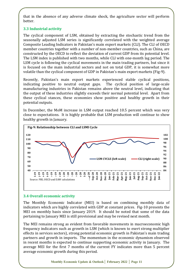that in the absence of any adverse climate shock, the agriculture sector will perform better.

# **3.3 Industrial activity**

The cyclical component of LSM, obtained by extracting the stochastic trend from the seasonally adjusted LSM series is significantly correlated with the weighted average Composite Leading Indicators in Pakistan's main export markets (CLI). The CLI of OECD member countries together with a number of non-member countries, such as China, are constructed by the OECD to reflect the deviation of current GDP from its potential level. The LSM index is published with two months, while CLI with one-month lag period. The LSM cycle is following the cyclical movements in the main trading partners, but since it is focused on the main industrial sectors and not on total GDP, it is somewhat more volatile than the cyclical component of GDP in Pakistan's main export markets (Fig-9).

Recently, Pakistan's main export markets experienced stable cyclical positions, indicating positive to neutral output gaps. The cyclical position of large-scale manufacturing industries in Pakistan remains above the neutral level, indicating that the output of these industries slightly exceeds their normal potential level. Apart from these cyclical stances, these economies show positive and healthy growth in their potential outputs.

In December, the MoM increase in LSM output reached 10.5 percent which was very close to expectations. It is highly probable that LSM production will continue to show healthy growth in January.



# **3.4 Overall economic activity**

The Monthly Economic Indicator (MEI) is based on combining monthly data of indicators which are highly correlated with GDP at constant prices. Fig-10 presents the MEI on monthly basis since January 2019. It should be noted that some of the data pertaining to January MEI is still provisional and may be revised next month.

The MEI remains strong as evident from favorable movements in macroeconomic high frequency indicators such as growth in LSM (which is known to exert strong multiplier effects in services sectors), strong potential economic growth in Pakistan's main trading partners and growth in imports. The momentum in the economic dynamism observed in recent months is expected to continue supporting economic activity in January. The average MEI for the first 7 months of the current FY indicates more than 5 percent average economic growth during this period.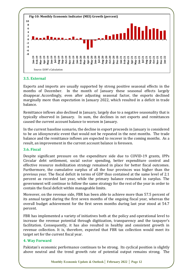

#### **3.5. External**

Exports and imports are usually supported by strong positive seasonal effects in the months of December. In the month of January these seasonal effects largely disappear. Accordingly, even after adjusting seasonal factor, the exports declined marginally more than expectation in January 2022, which resulted in a deficit in trade balance.

Remittance inflows also declined in January, largely due to a negative seasonality that is typically observed in January. In sum, the declines in net exports and remittances caused the current account balance to worsen in January.

In the current baseline scenario, the decline in export proceeds in January is considered to be an idiosyncratic event that would not be repeated in the next months. The trade balance and the remittance inflows are expected to recover in the coming months. As a result, an improvement in the current account balance is foreseen.

#### **3.6. Fiscal**

Despite significant pressure on the expenditure side due to COVID-19 grants, IPPs Circular debt settlement, social sector spending, better expenditure control and effective resource mobilization strategy remained in place for better fiscal outcomes. Furthermore, the cumulative surplus of all the four provinces was higher than the previous year. The fiscal deficit in terms of GDP thus contained at the same level of 2.1 percent as recorded last year, while the primary balance remained in surplus. The government will continue to follow the same strategy for the rest of the year in order to contain the fiscal deficit within manageable limits.

Moreover, on the revenue side, FBR has been able to achieve more than 57.5 percent of its annual target during the first seven months of the ongoing fiscal year, whereas the overall budget achievement for the first seven months during last year stood at 54.7 percent.

FBR has implemented a variety of initiatives both at the policy and operational level to increase the revenue potential through digitization, transparency and the taxpayer's facilitation. Consequently, it has also resulted in healthy and consistent growth in revenue collection. It is, therefore, expected that FBR tax collection would meet its target set for the current fiscal year.

#### **4. Way Forward**

Pakistan's economic performance continues to be strong. Its cyclical position is slightly above neutral and the trend growth rate of potential output remains strong. The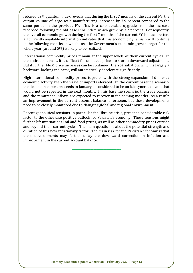rebased LSM quantum index reveals that during the first 7 months of the current FY, the output volume of large-scale manufacturing increased by 7.9 percent compared to the same period in the previous FY. This is a considerable upgrade from the increase recorded following the old base LSM index, which grew by 3.7 percent. Consequently, the overall economic growth during the first 7 months of the current FY is much better. All currently available information indicates that this economic dynamism will continue in the following months, in which case the Government's economic growth target for the whole year (around 5%) is likely to be realized.

International commodity prices remain at the upper levels of their current cycles. In these circumstances, it is difficult for domestic prices to start a downward adjustment. But if further MoM price increases can be contained, the YoY inflation, which is largely a backward-looking indicator, will automatically decelerate significantly.

High international commodity prices, together with the strong expansion of domestic economic activity keep the value of imports elevated. In the current baseline scenario, the decline in export proceeds in January is considered to be an idiosyncratic event that would not be repeated in the next months. In his baseline scenario, the trade balance and the remittance inflows are expected to recover in the coming months. As a result, an improvement in the current account balance is foreseen, but these developments need to be closely monitored due to changing global and regional environment.

Recent geopolitical tensions, in particular the Ukraine crisis, present a considerable risk factor to the otherwise positive outlook for Pakistan's economy. These tensions might further lift international oil and food prices, as well as other commodity prices outside and beyond their current cycles. The main question is about the potential strength and duration of this new inflationary factor. The main risk for the Pakistan economy is that these developments may further delay the downward correction in inflation and improvement in the current account balance.

**\_\_\_\_\_\_\_\_\_\_\_\_\_\_\_\_\_\_\_\_\_\_\_\_\_\_\_\_\_\_\_\_\_\_**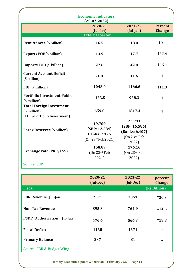|                                                                                    | <b>Economic Indicators</b><br>$(25-02-2022)$                               |                                                                    |                                 |
|------------------------------------------------------------------------------------|----------------------------------------------------------------------------|--------------------------------------------------------------------|---------------------------------|
|                                                                                    | 2020-21<br>$($ Jul-Jan $)$                                                 | 2021-22<br>$(Jul-Jan)$                                             | <b>Percent</b><br><b>Change</b> |
|                                                                                    | <b>External Sector</b>                                                     |                                                                    |                                 |
| <b>Remittances</b> (\$ billion)                                                    | 16.5                                                                       | 18.0                                                               | 19.1                            |
| <b>Exports FOB</b> (\$ billion)                                                    | 13.9                                                                       | 17.7                                                               | 127.4                           |
| <b>Imports FOB</b> (\$ billion)                                                    | 27.6                                                                       | 42.8                                                               | 155.1                           |
| <b>Current Account Deficit</b><br>(\$ billion)                                     | $-1.0$                                                                     | 11.6                                                               | $\uparrow$                      |
| FDI (\$ million)                                                                   | 1048.0                                                                     | 1166.6                                                             | 11.3                            |
| Portfolio Investment-Public<br>$($$ million $)$                                    | $-153.5$                                                                   | 958.3                                                              | ↑                               |
| <b>Total Foreign Investment</b><br>$($$ million $)$<br>(FDI &Portfolio Investment) | 659.0                                                                      | 1817.3                                                             | ↑                               |
| <b>Forex Reserves (\$ billion)</b>                                                 | 19.709<br>(SBP: 12.584)<br>(Banks: 7.125)<br>(0n 23 <sup>rd</sup> Feb2021) | 22.993<br>(SBP: 16.586)<br>(Banks: 6.407)<br>(On 23rd Feb<br>2022) |                                 |
| <b>Exchange rate (PKR/US\$)</b>                                                    | 158.89<br>(On 23 <sup>rd</sup> Feb)<br>2021)                               | 176.16<br>(On 23rd Feb<br>2022)                                    |                                 |
| <b>Source: SBP</b>                                                                 |                                                                            |                                                                    |                                 |

|                                       | 2020-21<br>(Jul-Dec) | 2021-22<br>$(Jul-Dec)$ | percent<br><b>Change</b> |
|---------------------------------------|----------------------|------------------------|--------------------------|
| <b>Fiscal</b>                         |                      |                        | (Rs Billion)             |
| <b>FBR Revenue</b> (Jul-Jan)          | 2571                 | 3351                   | <b>130.3</b>             |
| <b>Non-Tax Revenue</b>                | 895.3                | 764.9                  | $\downarrow$ 14.6        |
| <b>PSDP</b> (Authorization) (Jul-Jan) | 476.6                | 566.3                  | <b>118.8</b>             |
| <b>Fiscal Deficit</b>                 | 1138                 | 1371                   | ↑                        |
| <b>Primary Balance</b>                | 337                  | 81                     | ↓                        |
| Source: FBR & Budget Wing             |                      |                        |                          |